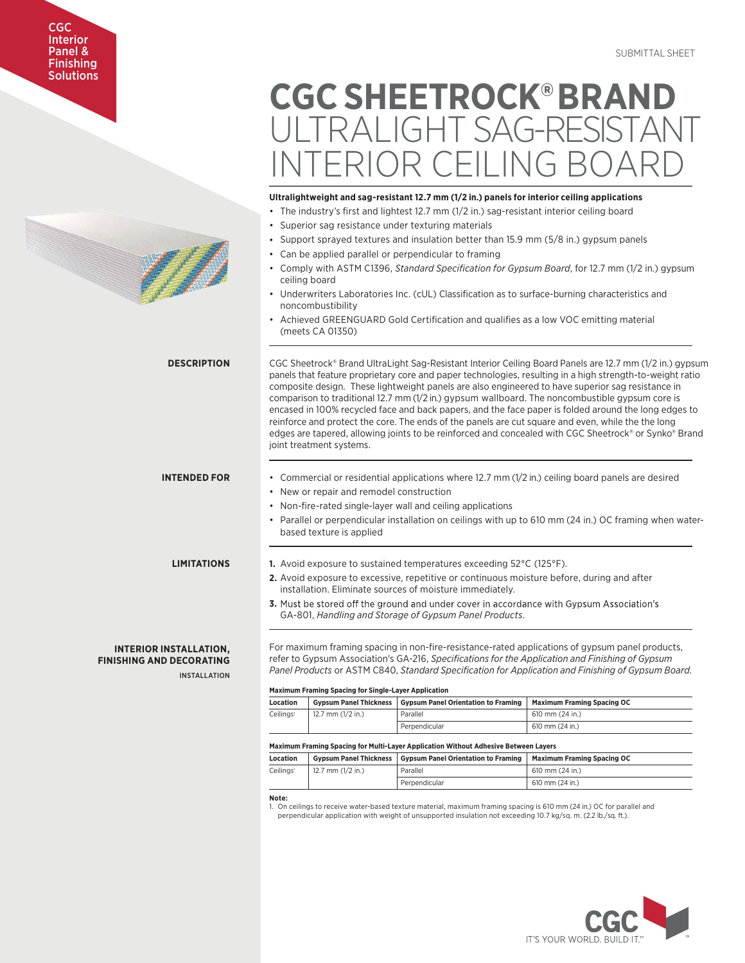# CGC **Interior** Panel & Finishing Solutions



# **CGC SHEETROCK®BRAND JI TRALIGHT SAG-RESISTAN** INTERIOR CEILING BOARD

# **Ultralightweight and sag-resistant 12.7 mm (1/2 in.) panels for interior ceiling applications**

- The industry's first and lightest 12.7 mm (1/2 in.) sag-resistant interior ceiling board
- Superior sag resistance under texturing materials
- Support sprayed textures and insulation better than 15.9 mm (5/8 in.) gypsum panels
- Can be applied parallel or perpendicular to framing
- Comply with ASTM C1396, *Standard Specification for Gypsum Board*, for 12.7 mm (1/2 in.) gypsum ceiling board
- Underwriters Laboratories Inc. (cUL) Classification as to surface-burning characteristics and noncombustibility
- Achieved GREENGUARD Gold Certification and qualifies as a low VOC emitting material (meets CA 01350)

CGC Sheetrock® Brand UltraLight Sag-Resistant Interior Ceiling Board Panels are 12.7 mm (1/2 in.) gypsum panels that feature proprietary core and paper technologies, resulting in a high strength-to-weight ratio composite design. These lightweight panels are also engineered to have superior sag resistance in comparison to traditional 12.7 mm (1/2 in.) gypsum wallboard. The noncombustible gypsum core is encased in 100% recycled face and back papers, and the face paper is folded around the long edges to reinforce and protect the core. The ends of the panels are cut square and even, while the the long edges are tapered, allowing joints to be reinforced and concealed with CGC Sheetrock® or Synko® Brand joint treatment systems.

#### **INTENDED FOR** • Commercial or residential applications where 12.7 mm (1/2 in.) ceiling board panels are desired

- New or repair and remodel construction
- Non-fire-rated single-layer wall and ceiling applications
- Parallel or perpendicular installation on ceilings with up to 610 mm (24 in.) OC framing when waterbased texture is applied

# **LIMITATIONS**

**DESCRIPTION**

# **INTERIOR INSTALLATION, FINISHING AND DECORATING**

INSTALLATION

- **1.** Avoid exposure to sustained temperatures exceeding 52°C (125°F).
- **2.** Avoid exposure to excessive, repetitive or continuous moisture before, during and after installation. Eliminate sources of moisture immediately.
- **3.** Must be stored off the ground and under cover in accordance with Gypsum Association's GA-801, *Handling and Storage of Gypsum Panel Products*.

For maximum framing spacing in non-fire-resistance-rated applications of gypsum panel products, refer to Gypsum Association's GA-216, *Specifications for the Application and Finishing of Gypsum Panel Products* or ASTM C840, *Standard Specification for Application and Finishing of Gypsum Board*.

#### **Maximum Framing Spacing for Single-Layer Application**

| Location                                     | <b>Gypsum Panel Thickness</b> | <b>Gypsum Panel Orientation to Framing</b> | <b>Maximum Framing Spacing OC</b> |  |
|----------------------------------------------|-------------------------------|--------------------------------------------|-----------------------------------|--|
| 12.7 mm $(1/2$ in.)<br>Ceilings <sup>1</sup> |                               | Parallel                                   | $610$ mm $(24$ in.)               |  |
|                                              |                               | Perpendicular                              | 610 mm (24 in.)                   |  |

## **Maximum Framing Spacing for Multi-Layer Application Without Adhesive Between Layers**

| Location              |                     | <b>Gypsum Panel Thickness   Gypsum Panel Orientation to Framing</b> | <b>Maximum Framing Spacing OC</b> |
|-----------------------|---------------------|---------------------------------------------------------------------|-----------------------------------|
| Ceilings <sup>1</sup> | 12.7 mm $(1/2$ in.) | Parallel                                                            | 610 mm (24 in.)                   |
|                       |                     | Perpendicular                                                       | 610 mm (24 in.)                   |

**Note:**

1. On ceilings to receive water-based texture material, maximum framing spacing is 610 mm (24 in.) OC for parallel and perpendicular application with weight of unsupported insulation not exceeding 10.7 kg/sq. m. (2.2 lb./sq. ft.).

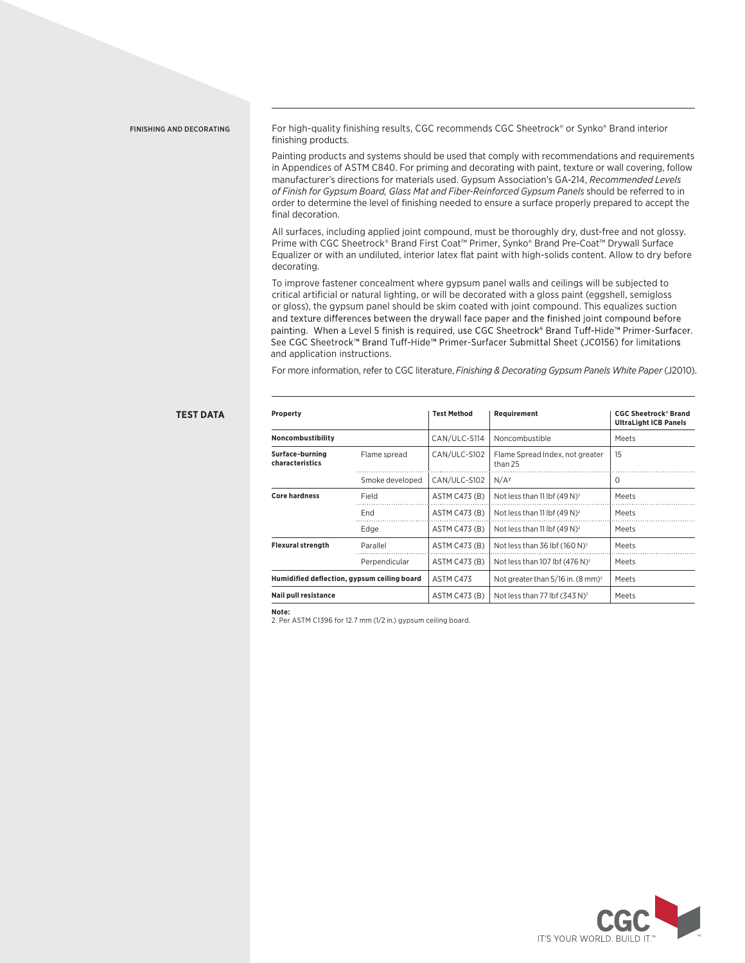FINISHING AND DECORATING For high-quality finishing results, CGC recommends CGC Sheetrock® or Synko® Brand interior finishing products.

> Painting products and systems should be used that comply with recommendations and requirements in Appendices of ASTM C840. For priming and decorating with paint, texture or wall covering, follow manufacturer's directions for materials used. Gypsum Association's GA-214, *Recommended Levels of Finish for Gypsum Board, Glass Mat and Fiber-Reinforced Gypsum Panels* should be referred to in order to determine the level of finishing needed to ensure a surface properly prepared to accept the final decoration.

> All surfaces, including applied joint compound, must be thoroughly dry, dust-free and not glossy. Prime with CGC Sheetrock® Brand First Coat™ Primer, Synko® Brand Pre-Coat™ Drywall Surface Equalizer or with an undiluted, interior latex flat paint with high-solids content. Allow to dry before decorating.

> To improve fastener concealment where gypsum panel walls and ceilings will be subjected to critical artificial or natural lighting, or will be decorated with a gloss paint (eggshell, semigloss or gloss), the gypsum panel should be skim coated with joint compound. This equalizes suction and texture differences between the drywall face paper and the finished joint compound before painting. When a Level 5 finish is required, use CGC Sheetrock® Brand Tuff-Hide™ Primer-Surfacer. See CGC Sheetrock™ Brand Tuff-Hide™ Primer-Surfacer Submittal Sheet (JC0156) for limitations and application instructions.

For more information, refer to CGC literature, *Finishing & Decorating Gypsum Panels White Paper* (J2010).

## **TEST DATA**

| Property<br>Noncombustibility               |                 | <b>Test Method</b><br>CAN/ULC-S114 | Requirement<br>Noncombustible                 | <b>CGC Sheetrock<sup>®</sup> Brand</b><br><b>UltraLight ICB Panels</b><br>Meets |
|---------------------------------------------|-----------------|------------------------------------|-----------------------------------------------|---------------------------------------------------------------------------------|
|                                             |                 |                                    |                                               |                                                                                 |
|                                             | Smoke developed | CAN/ULC-S102                       | N/A <sup>2</sup>                              | $\Omega$                                                                        |
| <b>Core hardness</b>                        | Field           | ASTM C473 (B)                      | Not less than 11 lbf $(49 N)^2$               | Meets                                                                           |
|                                             | End             | ASTM C473 (B)                      | Not less than 11 lbf $(49 N)^2$               | Meets                                                                           |
|                                             | Edge            | ASTM C473 (B)                      | Not less than 11 lbf $(49 N)^2$               | Meets                                                                           |
| <b>Flexural strength</b>                    | Parallel        | ASTM C473 (B)                      | Not less than 36 lbf $(160 N)^2$              | Meets                                                                           |
|                                             | Perpendicular   | ASTM C473 (B)                      | Not less than 107 lbf $(476 N)^2$             | Meets                                                                           |
| Humidified deflection, gypsum ceiling board |                 | ASTM C473                          | Not greater than 5/16 in. (8 mm) <sup>2</sup> | Meets                                                                           |
| <b>Nail pull resistance</b>                 |                 | ASTM C473 (B)                      | Not less than 77 lbf (343 N) <sup>2</sup>     | Meets                                                                           |

**Note:** 

2. Per ASTM C1396 for 12.7 mm (1/2 in.) gypsum ceiling board.